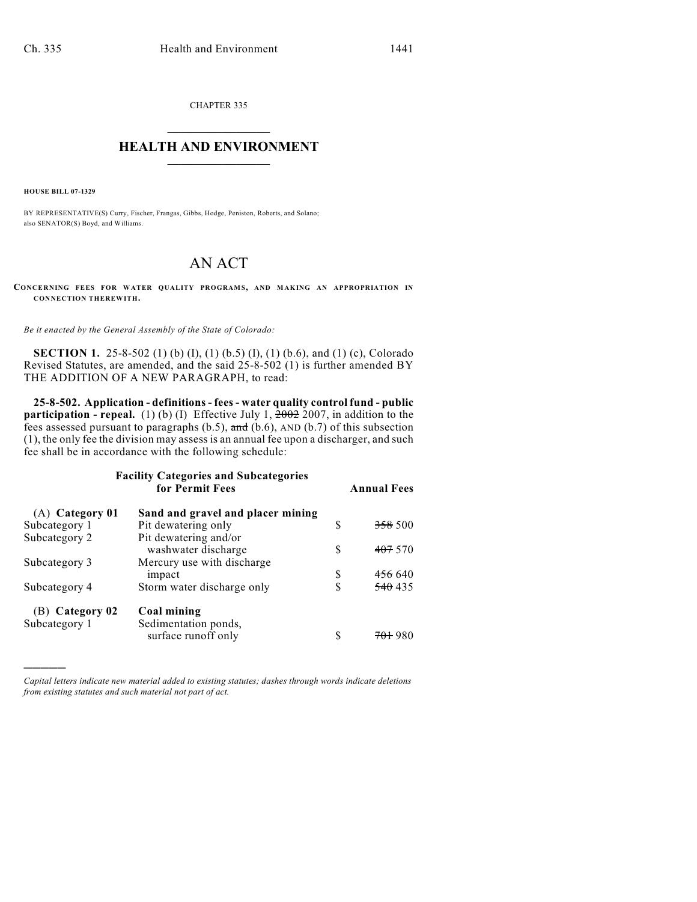CHAPTER 335

## $\mathcal{L}_\text{max}$  . The set of the set of the set of the set of the set of the set of the set of the set of the set of the set of the set of the set of the set of the set of the set of the set of the set of the set of the set **HEALTH AND ENVIRONMENT**  $\_$

**HOUSE BILL 07-1329**

)))))

BY REPRESENTATIVE(S) Curry, Fischer, Frangas, Gibbs, Hodge, Peniston, Roberts, and Solano; also SENATOR(S) Boyd, and Williams.

## AN ACT

**CONCERNING FEES FOR WATER QUALITY PROGRAM S, AND MAKING AN APPROPRIATION IN CONNECTION THEREWITH.**

*Be it enacted by the General Assembly of the State of Colorado:*

**SECTION 1.** 25-8-502 (1) (b) (I), (1) (b.5) (I), (1) (b.6), and (1) (c), Colorado Revised Statutes, are amended, and the said 25-8-502 (1) is further amended BY THE ADDITION OF A NEW PARAGRAPH, to read:

**25-8-502. Application - definitions - fees - water quality control fund - public participation - repeal.** (1) (b) (I) Effective July 1,  $\frac{2002}{2007}$ , in addition to the fees assessed pursuant to paragraphs (b.5), and (b.6), AND (b.7) of this subsection (1), the only fee the division may assess is an annual fee upon a discharger, and such fee shall be in accordance with the following schedule:

| <b>Facility Categories and Subcategories</b> | <b>Annual Fees</b>                           |    |                    |
|----------------------------------------------|----------------------------------------------|----|--------------------|
| $(A)$ Category 01                            | Sand and gravel and placer mining            |    |                    |
| Subcategory 1                                | Pit dewatering only                          | S  | <del>358</del> 500 |
| Subcategory 2                                | Pit dewatering and/or<br>washwater discharge | S  | 407 570            |
| Subcategory 3                                | Mercury use with discharge<br>impact         | S  | <del>456</del> 640 |
| Subcategory 4                                | Storm water discharge only                   | \$ | 540435             |
| (B) Category 02<br>Subcategory 1             | Coal mining<br>Sedimentation ponds,          |    |                    |
|                                              | surface runoff only                          | S  | 70+980             |

*Capital letters indicate new material added to existing statutes; dashes through words indicate deletions from existing statutes and such material not part of act.*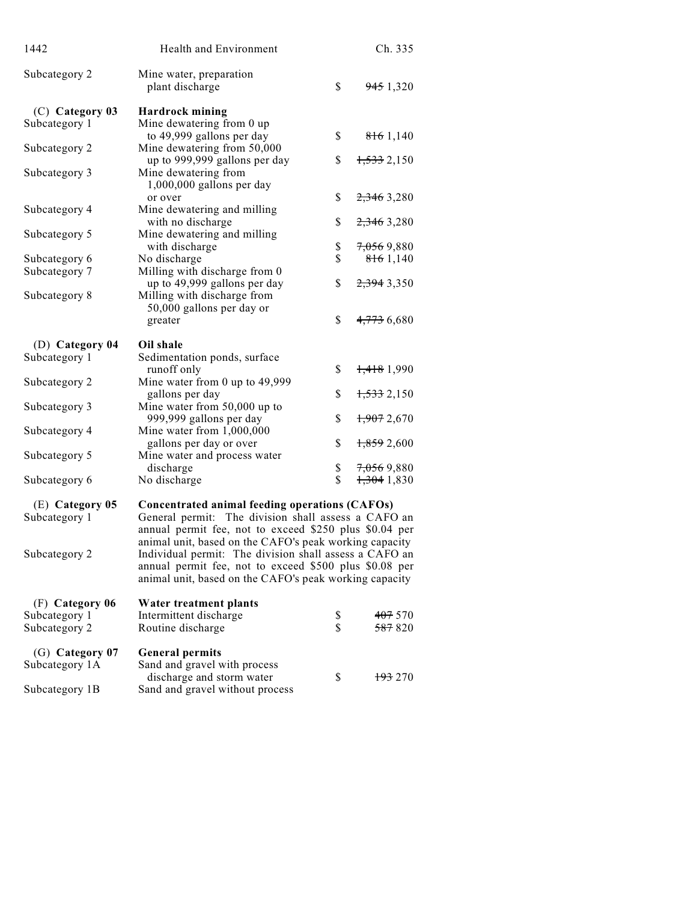| 1442                              | Health and Environment                                                                                                                                                                                                    | Ch. 335                  |
|-----------------------------------|---------------------------------------------------------------------------------------------------------------------------------------------------------------------------------------------------------------------------|--------------------------|
| Subcategory 2                     | Mine water, preparation<br>plant discharge                                                                                                                                                                                | \$<br>9451,320           |
| $(C)$ Category 03                 | <b>Hardrock mining</b>                                                                                                                                                                                                    |                          |
| Subcategory 1                     | Mine dewatering from 0 up                                                                                                                                                                                                 |                          |
| Subcategory 2                     | to 49,999 gallons per day<br>Mine dewatering from 50,000                                                                                                                                                                  | \$<br>8161,140           |
|                                   | up to 999,999 gallons per day                                                                                                                                                                                             | \$<br>1,533 2,150        |
| Subcategory 3                     | Mine dewatering from<br>1,000,000 gallons per day<br>or over                                                                                                                                                              | \$<br>2,346 3,280        |
| Subcategory 4                     | Mine dewatering and milling                                                                                                                                                                                               |                          |
|                                   | with no discharge                                                                                                                                                                                                         | \$<br>2,346 3,280        |
| Subcategory 5                     | Mine dewatering and milling                                                                                                                                                                                               |                          |
|                                   | with discharge                                                                                                                                                                                                            | \$<br>7,056 9,880        |
| Subcategory 6                     | No discharge                                                                                                                                                                                                              | \$<br>8161,140           |
| Subcategory 7                     | Milling with discharge from 0                                                                                                                                                                                             | \$                       |
| Subcategory 8                     | up to 49,999 gallons per day<br>Milling with discharge from                                                                                                                                                               | 2,394 3,350              |
|                                   | 50,000 gallons per day or                                                                                                                                                                                                 |                          |
|                                   | greater                                                                                                                                                                                                                   | \$<br>4,773 6,680        |
| (D) Category 04                   | Oil shale                                                                                                                                                                                                                 |                          |
| Subcategory 1                     | Sedimentation ponds, surface                                                                                                                                                                                              |                          |
|                                   | runoff only                                                                                                                                                                                                               | \$<br>1,418 1,990        |
| Subcategory 2                     | Mine water from $0$ up to $49,999$                                                                                                                                                                                        |                          |
|                                   | gallons per day                                                                                                                                                                                                           | \$<br>1,5332,150         |
| Subcategory 3                     | Mine water from $50,000$ up to                                                                                                                                                                                            |                          |
|                                   | 999,999 gallons per day                                                                                                                                                                                                   | \$<br>1,907 2,670        |
| Subcategory 4                     | Mine water from 1,000,000                                                                                                                                                                                                 |                          |
|                                   | gallons per day or over                                                                                                                                                                                                   | \$<br>1,859 2,600        |
| Subcategory 5                     | Mine water and process water<br>discharge                                                                                                                                                                                 | \$<br>7,056 9,880        |
| Subcategory 6                     | No discharge                                                                                                                                                                                                              | \$<br>$1,304$ 1,830      |
|                                   |                                                                                                                                                                                                                           |                          |
| (E) Category 05<br>Subcategory 1  | Concentrated animal feeding operations (CAFOs)<br>General permit: The division shall assess a CAFO an<br>annual permit fee, not to exceed \$250 plus \$0.04 per<br>animal unit, based on the CAFO's peak working capacity |                          |
| Subcategory 2                     | Individual permit: The division shall assess a CAFO an<br>annual permit fee, not to exceed \$500 plus \$0.08 per<br>animal unit, based on the CAFO's peak working capacity                                                |                          |
| (F) Category 06                   | Water treatment plants                                                                                                                                                                                                    |                          |
| Subcategory 1                     | Intermittent discharge                                                                                                                                                                                                    | \$<br><del>407</del> 570 |
| Subcategory 2                     | Routine discharge                                                                                                                                                                                                         | \$<br>587820             |
|                                   |                                                                                                                                                                                                                           |                          |
| (G) Category 07<br>Subcategory 1A | <b>General permits</b><br>Sand and gravel with process                                                                                                                                                                    |                          |
|                                   | discharge and storm water                                                                                                                                                                                                 | \$<br><del>193</del> 270 |
| Subcategory 1B                    | Sand and gravel without process                                                                                                                                                                                           |                          |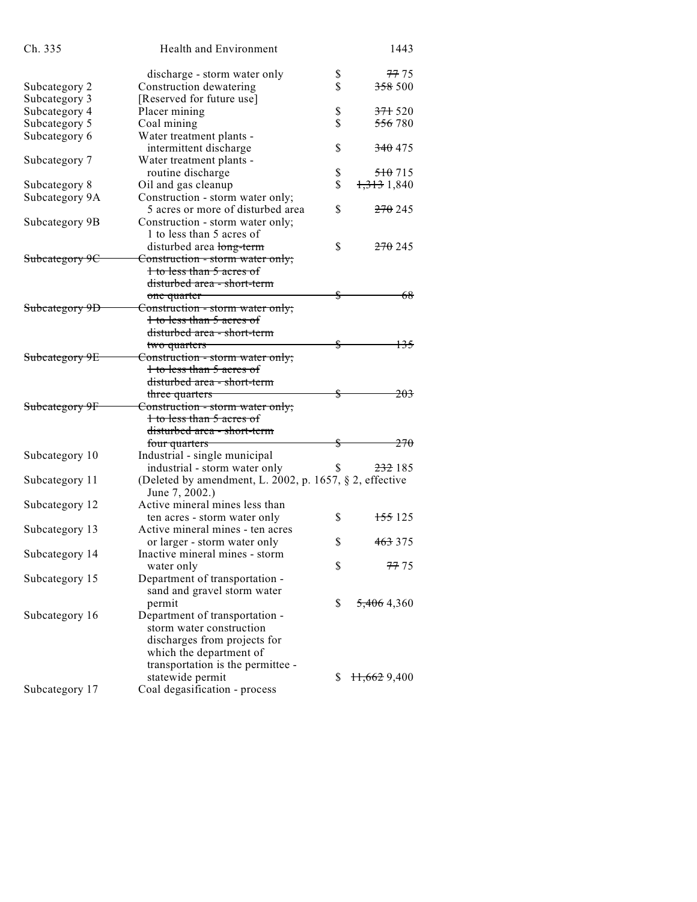| Ch. 335        | Health and Environment                                        |    | 1443                    |
|----------------|---------------------------------------------------------------|----|-------------------------|
|                | discharge - storm water only                                  | \$ | 77 75                   |
| Subcategory 2  | Construction dewatering                                       | \$ | 358 500                 |
| Subcategory 3  | [Reserved for future use]                                     |    |                         |
| Subcategory 4  | Placer mining                                                 | \$ | <del>371</del> 520      |
| Subcategory 5  | Coal mining                                                   | \$ | 556 780                 |
| Subcategory 6  | Water treatment plants -                                      |    |                         |
|                | intermittent discharge                                        | \$ | 340 475                 |
| Subcategory 7  | Water treatment plants -                                      |    |                         |
|                | routine discharge                                             | \$ | 510715                  |
| Subcategory 8  | Oil and gas cleanup                                           | \$ | 1,313 1,840             |
| Subcategory 9A | Construction - storm water only;                              |    |                         |
|                | 5 acres or more of disturbed area                             | \$ | 270245                  |
| Subcategory 9B | Construction - storm water only;                              |    |                         |
|                | 1 to less than 5 acres of                                     |    |                         |
|                | disturbed area long-term                                      | \$ | 270 245                 |
| Subcategory 9C | Construction - storm water only;                              |    |                         |
|                | <del>1 to less than 5 acres of</del>                          |    |                         |
|                | disturbed area - short-term                                   |    |                         |
|                | one quarter                                                   |    | 68                      |
| Subcategory 9D | Construction - storm water only;                              |    |                         |
|                | <del>1 to less than 5 acres of</del>                          |    |                         |
|                | disturbed area - short-term                                   |    |                         |
|                | two quarters                                                  | S  | <del>135</del>          |
| Subcategory 9E | Construction - storm water only;                              |    |                         |
|                | <del>1 to less than 5 acres of</del>                          |    |                         |
|                | disturbed area - short-term                                   |    |                         |
|                | three quarters                                                | S  | 203                     |
| Subcategory 9F | Construction - storm water only;                              |    |                         |
|                | <del>1 to less than 5 acres of</del>                          |    |                         |
|                | disturbed area - short-term                                   |    |                         |
|                | four quarters                                                 | \$ | 270                     |
| Subcategory 10 | Industrial - single municipal                                 |    |                         |
|                | industrial - storm water only                                 |    | <del>232</del> 185      |
| Subcategory 11 | (Deleted by amendment, L. 2002, p. 1657, § 2, effective       |    |                         |
|                | June 7, 2002.)                                                |    |                         |
| Subcategory 12 | Active mineral mines less than                                |    |                         |
|                | ten acres - storm water only                                  | \$ | <del>155</del> 125      |
| Subcategory 13 | Active mineral mines - ten acres                              |    |                         |
|                | or larger - storm water only                                  | \$ | <del>463</del> 375      |
| Subcategory 14 | Inactive mineral mines - storm                                |    |                         |
|                | water only                                                    | \$ | <del>77</del> 75        |
| Subcategory 15 |                                                               |    |                         |
|                | Department of transportation -<br>sand and gravel storm water |    |                         |
|                | permit                                                        | \$ | 5,406 4,360             |
| Subcategory 16 | Department of transportation -                                |    |                         |
|                | storm water construction                                      |    |                         |
|                |                                                               |    |                         |
|                | discharges from projects for                                  |    |                         |
|                | which the department of                                       |    |                         |
|                | transportation is the permittee -                             |    |                         |
|                | statewide permit                                              | S  | <del>11,662</del> 9,400 |
| Subcategory 17 | Coal degasification - process                                 |    |                         |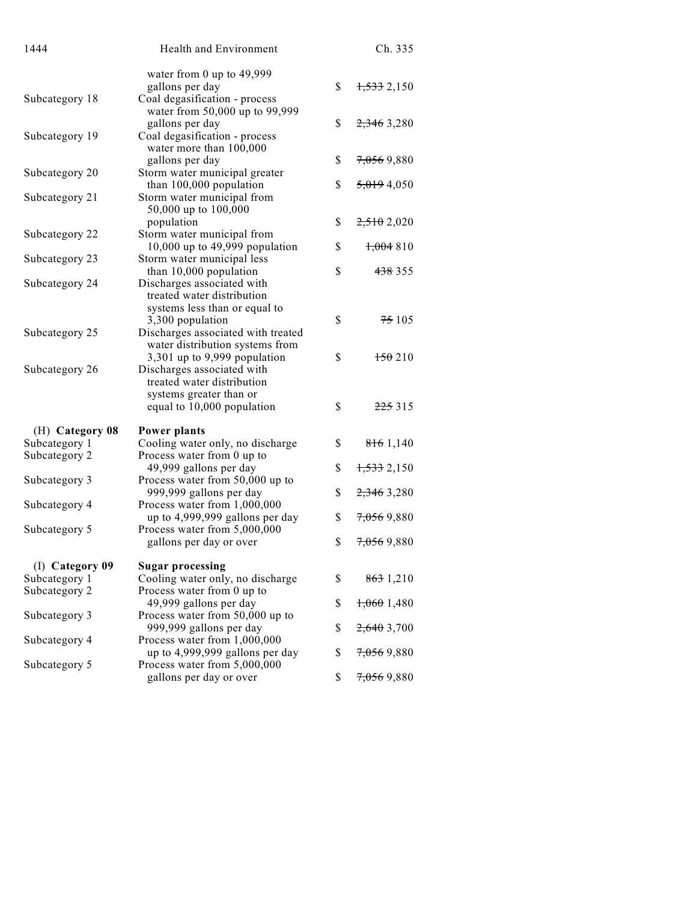| 1444            | Health and Environment                                         | Ch. 335                 |
|-----------------|----------------------------------------------------------------|-------------------------|
|                 | water from $0$ up to $49,999$                                  |                         |
| Subcategory 18  | gallons per day<br>Coal degasification - process               | \$<br>1,5332,150        |
|                 | water from 50,000 up to 99,999<br>gallons per day              | \$<br>2,346 3,280       |
| Subcategory 19  | Coal degasification - process                                  |                         |
|                 | water more than 100,000                                        | \$                      |
| Subcategory 20  | gallons per day<br>Storm water municipal greater               | 7,056 9,880             |
|                 | than 100,000 population                                        | \$<br>5,0194,050        |
| Subcategory 21  | Storm water municipal from<br>50,000 up to 100,000             |                         |
|                 | population                                                     | \$<br>2,5102,020        |
| Subcategory 22  | Storm water municipal from<br>$10,000$ up to 49,999 population | \$<br>1,004810          |
| Subcategory 23  | Storm water municipal less                                     |                         |
|                 | than 10,000 population                                         | \$<br>438 355           |
| Subcategory 24  | Discharges associated with                                     |                         |
|                 | treated water distribution                                     |                         |
|                 | systems less than or equal to                                  | \$                      |
| Subcategory 25  | 3,300 population<br>Discharges associated with treated         | <del>75</del> 105       |
|                 | water distribution systems from                                |                         |
|                 | 3,301 up to 9,999 population                                   | \$<br>$\frac{150}{210}$ |
| Subcategory 26  | Discharges associated with                                     |                         |
|                 | treated water distribution                                     |                         |
|                 | systems greater than or<br>equal to 10,000 population          | \$<br>225 315           |
|                 |                                                                |                         |
| (H) Category 08 | Power plants                                                   |                         |
| Subcategory 1   | Cooling water only, no discharge                               | \$<br>816 1,140         |
| Subcategory 2   | Process water from 0 up to                                     |                         |
| Subcategory 3   | 49,999 gallons per day<br>Process water from 50,000 up to      | \$<br>1,533 2,150       |
|                 | 999,999 gallons per day                                        | \$<br>2,346 3,280       |
| Subcategory 4   | Process water from 1,000,000                                   |                         |
|                 | up to 4,999,999 gallons per day                                | \$<br>7,056 9,880       |
| Subcategory 5   | Process water from 5,000,000                                   |                         |
|                 | gallons per day or over                                        | \$<br>7,056 9,880       |
| (I) Category 09 | <b>Sugar processing</b>                                        |                         |
| Subcategory 1   | Cooling water only, no discharge                               | \$<br>863 1,210         |
| Subcategory 2   | Process water from 0 up to                                     |                         |
|                 | 49,999 gallons per day<br>Process water from 50,000 up to      | \$<br>$1,060$ 1,480     |
| Subcategory 3   | 999,999 gallons per day                                        | \$<br>$2,640$ 3,700     |
| Subcategory 4   | Process water from 1,000,000                                   |                         |
|                 | up to 4,999,999 gallons per day                                | \$<br>7,056 9,880       |
| Subcategory 5   | Process water from 5,000,000                                   |                         |
|                 | gallons per day or over                                        | \$<br>7,056 9,880       |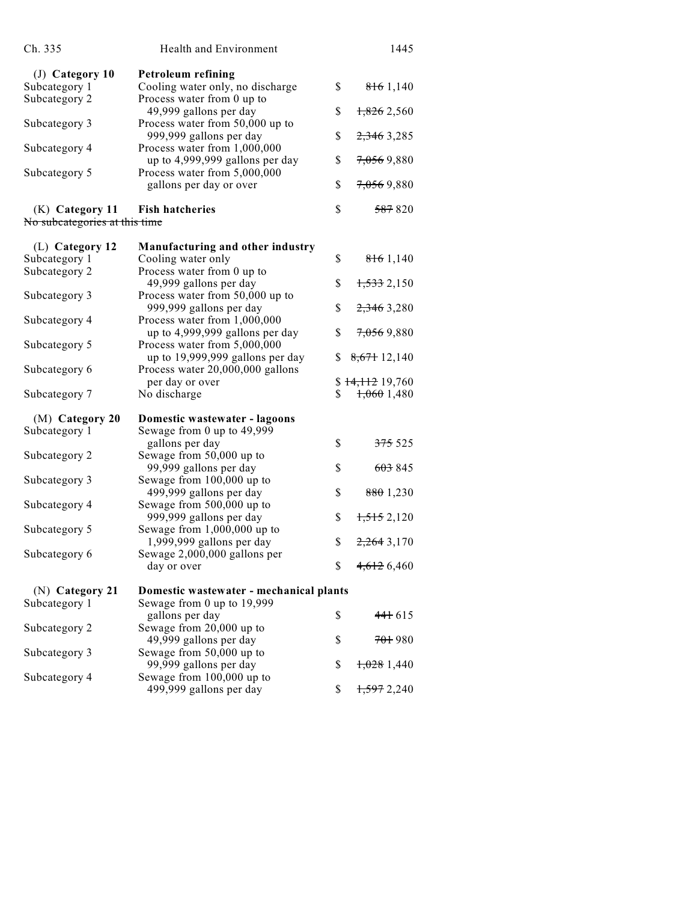| Ch. 335                                           | Health and Environment                                                                  |    | 1445                |
|---------------------------------------------------|-----------------------------------------------------------------------------------------|----|---------------------|
| (J) Category 10<br>Subcategory 1<br>Subcategory 2 | <b>Petroleum refining</b><br>Cooling water only, no discharge                           | \$ | 816 1,140           |
| Subcategory 3                                     | Process water from 0 up to<br>49,999 gallons per day<br>Process water from 50,000 up to | \$ | 1,826 2,560         |
|                                                   | 999,999 gallons per day                                                                 | \$ | 2,346 3,285         |
| Subcategory 4                                     | Process water from 1,000,000<br>up to 4,999,999 gallons per day                         | \$ | 7,056 9,880         |
| Subcategory 5                                     | Process water from 5,000,000<br>gallons per day or over                                 | \$ | 7,056 9,880         |
| (K) Category 11<br>No subcategories at this time  | <b>Fish hatcheries</b>                                                                  | \$ | 587820              |
| (L) Category 12                                   | Manufacturing and other industry                                                        |    |                     |
| Subcategory 1                                     | Cooling water only                                                                      | \$ | 8161,140            |
| Subcategory 2                                     | Process water from 0 up to<br>49,999 gallons per day                                    | \$ | 1,533 2,150         |
| Subcategory 3                                     | Process water from 50,000 up to<br>999,999 gallons per day                              | \$ | 2,346 3,280         |
| Subcategory 4                                     | Process water from 1,000,000                                                            |    |                     |
| Subcategory 5                                     | up to 4,999,999 gallons per day<br>Process water from 5,000,000                         | \$ | 7,056 9,880         |
| Subcategory 6                                     | up to 19,999,999 gallons per day<br>Process water 20,000,000 gallons                    | \$ | 8,671 12,140        |
|                                                   | per day or over                                                                         |    | \$14,112 19,760     |
| Subcategory 7                                     | No discharge                                                                            | S  | $1,060$ 1,480       |
| (M) Category 20                                   | Domestic wastewater - lagoons                                                           |    |                     |
| Subcategory 1                                     | Sewage from 0 up to 49,999<br>gallons per day                                           | \$ | 375 525             |
| Subcategory 2                                     | Sewage from 50,000 up to<br>99,999 gallons per day                                      | \$ | 603 845             |
| Subcategory 3                                     | Sewage from 100,000 up to<br>499,999 gallons per day                                    | \$ | 8801,230            |
| Subcategory 4                                     | Sewage from 500,000 up to<br>999,999 gallons per day                                    | \$ | 1,5152,120          |
| Subcategory 5                                     | Sewage from $1,000,000$ up to                                                           | \$ |                     |
| Subcategory 6                                     | 1,999,999 gallons per day<br>Sewage 2,000,000 gallons per                               |    | $2,264$ 3,170       |
|                                                   | day or over                                                                             | \$ | 4,612 6,460         |
| (N) Category 21                                   | Domestic wastewater - mechanical plants                                                 |    |                     |
| Subcategory 1                                     | Sewage from 0 up to 19,999                                                              |    |                     |
|                                                   |                                                                                         | \$ | 44 <sup>+</sup> 615 |
| Subcategory 2                                     | gallons per day<br>Sewage from 20,000 up to                                             |    |                     |
|                                                   | 49,999 gallons per day                                                                  | \$ | 701 980             |
| Subcategory 3<br>Subcategory 4                    | Sewage from 50,000 up to<br>99,999 gallons per day<br>Sewage from 100,000 up to         | \$ | $1,028$ 1,440       |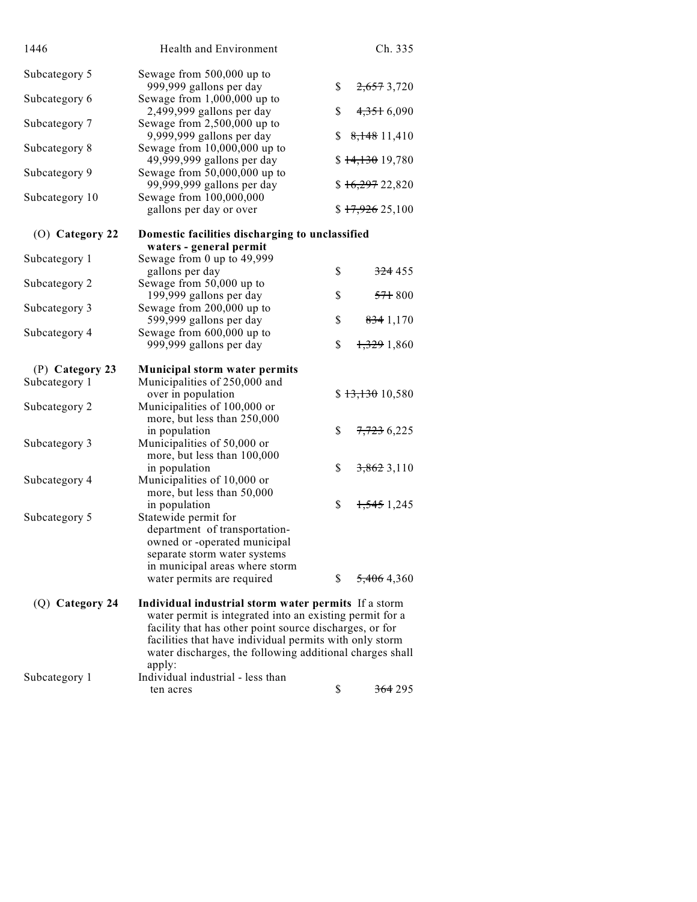| 1446            | Health and Environment                                       |    | Ch. 335                |
|-----------------|--------------------------------------------------------------|----|------------------------|
| Subcategory 5   | Sewage from 500,000 up to<br>999,999 gallons per day         | \$ | 2,657 3,720            |
| Subcategory 6   | Sewage from $1,000,000$ up to<br>2,499,999 gallons per day   | \$ | 4,351 6,090            |
| Subcategory 7   | Sewage from $2,500,000$ up to<br>9,999,999 gallons per day   | S. | 8,148 11,410           |
| Subcategory 8   | Sewage from $10,000,000$ up to<br>49,999,999 gallons per day |    | \$14,130 19,780        |
| Subcategory 9   | Sewage from $50,000,000$ up to<br>99,999,999 gallons per day |    | \$16,29722,820         |
| Subcategory 10  | Sewage from 100,000,000<br>gallons per day or over           |    | $$17,926$ 25,100       |
| (O) Category 22 | Domestic facilities discharging to unclassified              |    |                        |
|                 | waters - general permit                                      |    |                        |
| Subcategory 1   | Sewage from 0 up to 49,999                                   |    |                        |
|                 | gallons per day                                              | \$ | <del>324</del> 455     |
| Subcategory 2   | Sewage from 50,000 up to                                     |    |                        |
|                 | 199,999 gallons per day                                      | \$ | <del>571</del> 800     |
| Subcategory 3   | Sewage from 200,000 up to                                    |    |                        |
|                 | 599,999 gallons per day                                      | \$ | 834 1,170              |
| Subcategory 4   | Sewage from 600,000 up to                                    |    |                        |
|                 | 999,999 gallons per day                                      | \$ | 1,329 1,860            |
|                 |                                                              |    |                        |
| (P) Category 23 | Municipal storm water permits                                |    |                        |
| Subcategory 1   | Municipalities of 250,000 and                                |    |                        |
|                 | over in population                                           |    | $$13,130$ 10,580       |
| Subcategory 2   | Municipalities of 100,000 or                                 |    |                        |
|                 | more, but less than 250,000                                  |    |                        |
|                 | in population                                                | \$ | 7,723 6,225            |
| Subcategory 3   | Municipalities of 50,000 or                                  |    |                        |
|                 | more, but less than 100,000                                  |    |                        |
|                 | in population                                                | \$ | $3,862$ 3,110          |
|                 |                                                              |    |                        |
| Subcategory 4   | Municipalities of 10,000 or                                  |    |                        |
|                 | more, but less than 50,000                                   |    |                        |
|                 | in population                                                | \$ | $1,545$ 1,245          |
| Subcategory 5   | Statewide permit for                                         |    |                        |
|                 | department of transportation-                                |    |                        |
|                 | owned or -operated municipal                                 |    |                        |
|                 | separate storm water systems                                 |    |                        |
|                 | in municipal areas where storm                               |    |                        |
|                 | water permits are required                                   | \$ | <del>5,406</del> 4,360 |
|                 |                                                              |    |                        |
| (Q) Category 24 | Individual industrial storm water permits If a storm         |    |                        |
|                 |                                                              |    |                        |
|                 | water permit is integrated into an existing permit for a     |    |                        |
|                 | facility that has other point source discharges, or for      |    |                        |
|                 | facilities that have individual permits with only storm      |    |                        |
|                 | water discharges, the following additional charges shall     |    |                        |
|                 | apply:                                                       |    |                        |
| Subcategory 1   | Individual industrial - less than                            |    |                        |
|                 | ten acres                                                    | \$ | <del>364</del> 295     |
|                 |                                                              |    |                        |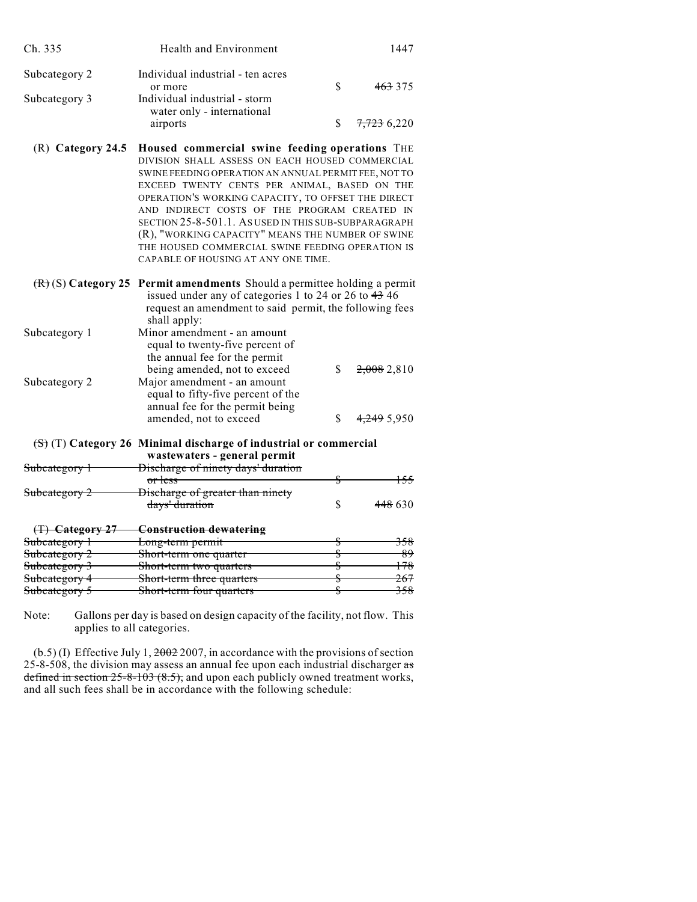| Ch. 335                                   | <b>Health and Environment</b>                                                                                                                                                                                                                                                                                                                                                                                                                                                                                           |    | 1447               |
|-------------------------------------------|-------------------------------------------------------------------------------------------------------------------------------------------------------------------------------------------------------------------------------------------------------------------------------------------------------------------------------------------------------------------------------------------------------------------------------------------------------------------------------------------------------------------------|----|--------------------|
| Subcategory 2                             | Individual industrial - ten acres<br>or more                                                                                                                                                                                                                                                                                                                                                                                                                                                                            | \$ | <del>463</del> 375 |
| Subcategory 3                             | Individual industrial - storm                                                                                                                                                                                                                                                                                                                                                                                                                                                                                           |    |                    |
|                                           | water only - international<br>airports                                                                                                                                                                                                                                                                                                                                                                                                                                                                                  | \$ | 7,723 6,220        |
| (R) Category 24.5                         | Housed commercial swine feeding operations THE<br>DIVISION SHALL ASSESS ON EACH HOUSED COMMERCIAL<br>SWINE FEEDING OPERATION AN ANNUAL PERMIT FEE, NOT TO<br>EXCEED TWENTY CENTS PER ANIMAL, BASED ON THE<br>OPERATION'S WORKING CAPACITY, TO OFFSET THE DIRECT<br>AND INDIRECT COSTS OF THE PROGRAM CREATED IN<br>SECTION 25-8-501.1. AS USED IN THIS SUB-SUBPARAGRAPH<br>(R), "WORKING CAPACITY" MEANS THE NUMBER OF SWINE<br>THE HOUSED COMMERCIAL SWINE FEEDING OPERATION IS<br>CAPABLE OF HOUSING AT ANY ONE TIME. |    |                    |
| $\left(\mathbb{R}\right)$ (S) Category 25 | Permit amendments Should a permittee holding a permit<br>issued under any of categories 1 to 24 or 26 to $43\overline{4}$<br>request an amendment to said permit, the following fees<br>shall apply:                                                                                                                                                                                                                                                                                                                    |    |                    |
| Subcategory 1                             | Minor amendment - an amount<br>equal to twenty-five percent of<br>the annual fee for the permit<br>being amended, not to exceed                                                                                                                                                                                                                                                                                                                                                                                         | \$ | 2,008 2,810        |
| Subcategory 2                             | Major amendment - an amount<br>equal to fifty-five percent of the<br>annual fee for the permit being<br>amended, not to exceed                                                                                                                                                                                                                                                                                                                                                                                          | \$ | 4,249 5,950        |
|                                           |                                                                                                                                                                                                                                                                                                                                                                                                                                                                                                                         |    |                    |
|                                           | $(\mathcal{S})$ (T) Category 26 Minimal discharge of industrial or commercial<br>wastewaters - general permit                                                                                                                                                                                                                                                                                                                                                                                                           |    |                    |
| Subcategory 1                             | Discharge of ninety days' duration                                                                                                                                                                                                                                                                                                                                                                                                                                                                                      |    |                    |
|                                           | <del>or less</del>                                                                                                                                                                                                                                                                                                                                                                                                                                                                                                      |    | 155                |
| Subcategory 2                             | Discharge of greater than ninety<br>days' duration                                                                                                                                                                                                                                                                                                                                                                                                                                                                      | S  | <del>448</del> 630 |
| (T) Category 27                           | <b>Construction dewatering</b>                                                                                                                                                                                                                                                                                                                                                                                                                                                                                          |    |                    |
| Subcategory 1                             | Long-term permit                                                                                                                                                                                                                                                                                                                                                                                                                                                                                                        |    | <del>358</del>     |
| Subcategory 2                             | Short-term one quarter                                                                                                                                                                                                                                                                                                                                                                                                                                                                                                  |    | 89                 |
| Subcategory 3                             | Short-term two quarters                                                                                                                                                                                                                                                                                                                                                                                                                                                                                                 |    | <del>178</del>     |
| Subcategory 4                             | Short-term three quarters                                                                                                                                                                                                                                                                                                                                                                                                                                                                                               | \$ | 267                |
| Subcategory 5                             | Short-term four quarters                                                                                                                                                                                                                                                                                                                                                                                                                                                                                                |    | <del>358</del>     |
|                                           |                                                                                                                                                                                                                                                                                                                                                                                                                                                                                                                         |    |                    |

Note: Gallons per day is based on design capacity of the facility, not flow. This applies to all categories.

 $(b.5)$  (I) Effective July 1,  $\frac{2002}{2007}$ , in accordance with the provisions of section 25-8-508, the division may assess an annual fee upon each industrial discharger as defined in section 25-8-103 (8.5), and upon each publicly owned treatment works, and all such fees shall be in accordance with the following schedule: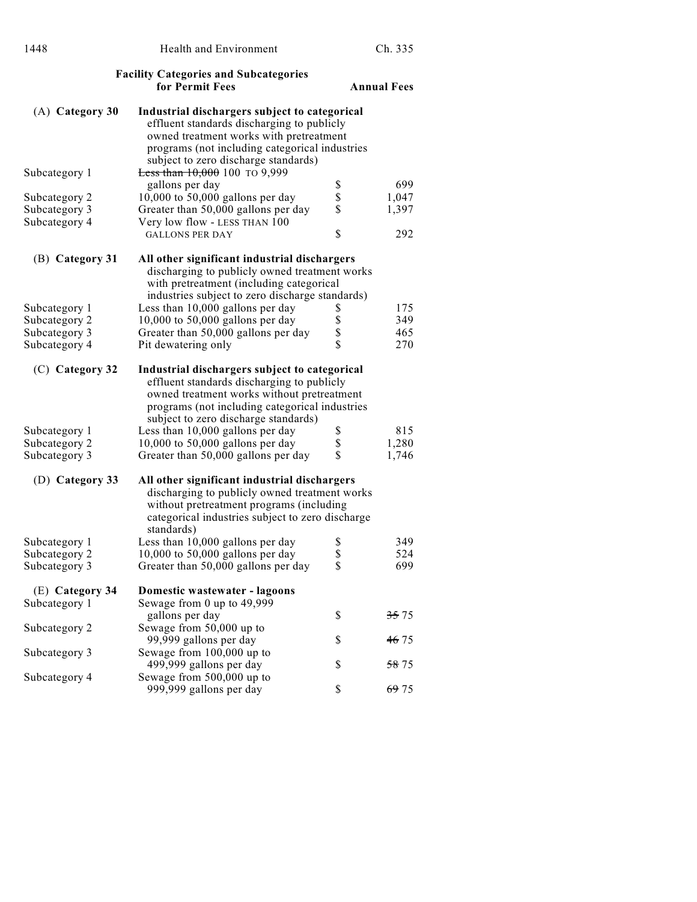| 1448                           | <b>Health and Environment</b>                                                                                                                                                                                                       |          | Ch. 335            |
|--------------------------------|-------------------------------------------------------------------------------------------------------------------------------------------------------------------------------------------------------------------------------------|----------|--------------------|
|                                | <b>Facility Categories and Subcategories</b><br>for Permit Fees                                                                                                                                                                     |          | <b>Annual Fees</b> |
| (A) Category 30                | Industrial dischargers subject to categorical<br>effluent standards discharging to publicly<br>owned treatment works with pretreatment<br>programs (not including categorical industries<br>subject to zero discharge standards)    |          |                    |
| Subcategory 1                  | <b>Less than 10,000</b> 100 TO 9,999<br>gallons per day                                                                                                                                                                             |          | 699                |
|                                |                                                                                                                                                                                                                                     | \$<br>\$ |                    |
| Subcategory 2                  | $10,000$ to 50,000 gallons per day                                                                                                                                                                                                  |          | 1,047              |
| Subcategory 3<br>Subcategory 4 | Greater than 50,000 gallons per day<br>Very low flow - LESS THAN 100                                                                                                                                                                | \$       | 1,397              |
|                                | <b>GALLONS PER DAY</b>                                                                                                                                                                                                              | \$       | 292                |
| (B) Category 31                | All other significant industrial dischargers<br>discharging to publicly owned treatment works<br>with pretreatment (including categorical<br>industries subject to zero discharge standards)                                        |          |                    |
| Subcategory 1                  | Less than 10,000 gallons per day                                                                                                                                                                                                    | \$       | 175                |
| Subcategory 2                  | $10,000$ to 50,000 gallons per day                                                                                                                                                                                                  | \$       | 349                |
| Subcategory 3                  | Greater than 50,000 gallons per day                                                                                                                                                                                                 | \$       | 465                |
| Subcategory 4                  | Pit dewatering only                                                                                                                                                                                                                 | \$       | 270                |
| $(C)$ Category 32              | Industrial dischargers subject to categorical<br>effluent standards discharging to publicly<br>owned treatment works without pretreatment<br>programs (not including categorical industries<br>subject to zero discharge standards) |          | 815                |
| Subcategory 1                  | Less than 10,000 gallons per day                                                                                                                                                                                                    | \$       |                    |
| Subcategory 2<br>Subcategory 3 | $10,000$ to 50,000 gallons per day<br>Greater than 50,000 gallons per day                                                                                                                                                           | \$<br>\$ | 1,280<br>1,746     |
| (D) Category 33                | All other significant industrial dischargers                                                                                                                                                                                        |          |                    |
|                                | discharging to publicly owned treatment works<br>without pretreatment programs (including<br>categorical industries subject to zero discharge<br>standards)                                                                         |          |                    |
| Subcategory 1                  | Less than 10,000 gallons per day                                                                                                                                                                                                    | \$       | 349                |
| Subcategory 2                  | $10,000$ to 50,000 gallons per day                                                                                                                                                                                                  | P        | 524                |
| Subcategory 3                  | Greater than 50,000 gallons per day                                                                                                                                                                                                 | \$       | 699                |
| (E) Category 34                | Domestic wastewater - lagoons                                                                                                                                                                                                       |          |                    |
| Subcategory 1                  | Sewage from 0 up to 49,999                                                                                                                                                                                                          |          |                    |
|                                | gallons per day                                                                                                                                                                                                                     | \$       | 3575               |
| Subcategory 2                  | Sewage from 50,000 up to                                                                                                                                                                                                            |          |                    |
|                                | 99,999 gallons per day                                                                                                                                                                                                              | \$       | <del>46</del> 75   |
| Subcategory 3                  | Sewage from 100,000 up to<br>499,999 gallons per day                                                                                                                                                                                | \$       | 58 75              |
| Subcategory 4                  | Sewage from 500,000 up to<br>999,999 gallons per day                                                                                                                                                                                | \$       | 69 75              |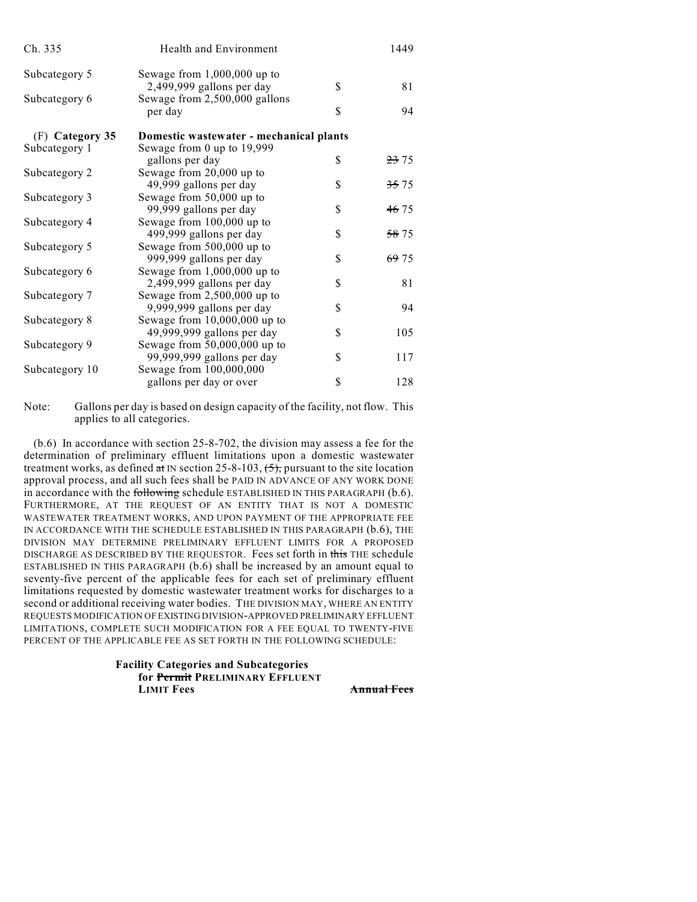| Ch. 335         | Health and Environment                                     |    | 1449             |
|-----------------|------------------------------------------------------------|----|------------------|
| Subcategory 5   | Sewage from $1,000,000$ up to                              |    |                  |
| Subcategory 6   | 2,499,999 gallons per day<br>Sewage from 2,500,000 gallons | S  | 81               |
|                 | per day                                                    | \$ | 94               |
| (F) Category 35 | Domestic wastewater - mechanical plants                    |    |                  |
| Subcategory 1   | Sewage from 0 up to 19,999                                 |    |                  |
|                 | gallons per day                                            | \$ | 23 75            |
| Subcategory 2   | Sewage from 20,000 up to                                   |    |                  |
|                 | 49,999 gallons per day                                     | \$ | <del>35</del> 75 |
| Subcategory 3   | Sewage from 50,000 up to                                   |    |                  |
|                 | 99,999 gallons per day                                     | \$ | <del>46</del> 75 |
| Subcategory 4   | Sewage from 100,000 up to                                  |    |                  |
|                 | 499,999 gallons per day                                    | \$ | 58 75            |
| Subcategory 5   | Sewage from 500,000 up to                                  |    |                  |
|                 | 999,999 gallons per day                                    | \$ | 69 75            |
| Subcategory 6   | Sewage from $1,000,000$ up to                              | \$ | 81               |
|                 | 2,499,999 gallons per day<br>Sewage from 2,500,000 up to   |    |                  |
| Subcategory 7   | 9,999,999 gallons per day                                  | \$ | 94               |
| Subcategory 8   | Sewage from $10,000,000$ up to                             |    |                  |
|                 | 49,999,999 gallons per day                                 | \$ | 105              |
| Subcategory 9   | Sewage from $50,000,000$ up to                             |    |                  |
|                 | 99,999,999 gallons per day                                 | \$ | 117              |
| Subcategory 10  | Sewage from 100,000,000                                    |    |                  |
|                 | gallons per day or over                                    | \$ | 128              |
|                 |                                                            |    |                  |

Note: Gallons per day is based on design capacity of the facility, not flow. This applies to all categories.

(b.6) In accordance with section 25-8-702, the division may assess a fee for the determination of preliminary effluent limitations upon a domestic wastewater treatment works, as defined at IN section 25-8-103,  $\left( 5 \right)$ , pursuant to the site location approval process, and all such fees shall be PAID IN ADVANCE OF ANY WORK DONE in accordance with the following schedule ESTABLISHED IN THIS PARAGRAPH (b.6). FURTHERMORE, AT THE REQUEST OF AN ENTITY THAT IS NOT A DOMESTIC WASTEWATER TREATMENT WORKS, AND UPON PAYMENT OF THE APPROPRIATE FEE IN ACCORDANCE WITH THE SCHEDULE ESTABLISHED IN THIS PARAGRAPH (b.6), THE DIVISION MAY DETERMINE PRELIMINARY EFFLUENT LIMITS FOR A PROPOSED DISCHARGE AS DESCRIBED BY THE REQUESTOR. Fees set forth in this THE schedule ESTABLISHED IN THIS PARAGRAPH (b.6) shall be increased by an amount equal to seventy-five percent of the applicable fees for each set of preliminary effluent limitations requested by domestic wastewater treatment works for discharges to a second or additional receiving water bodies. THE DIVISION MAY, WHERE AN ENTITY REQUESTS MODIFICATION OF EXISTING DIVISION-APPROVED PRELIMINARY EFFLUENT LIMITATIONS, COMPLETE SUCH MODIFICATION FOR A FEE EQUAL TO TWENTY-FIVE PERCENT OF THE APPLICABLE FEE AS SET FORTH IN THE FOLLOWING SCHEDULE:

> **Facility Categories and Subcategories for Permit PRELIMINARY EFFLUENT**

**LIMIT Fees Annual Fees**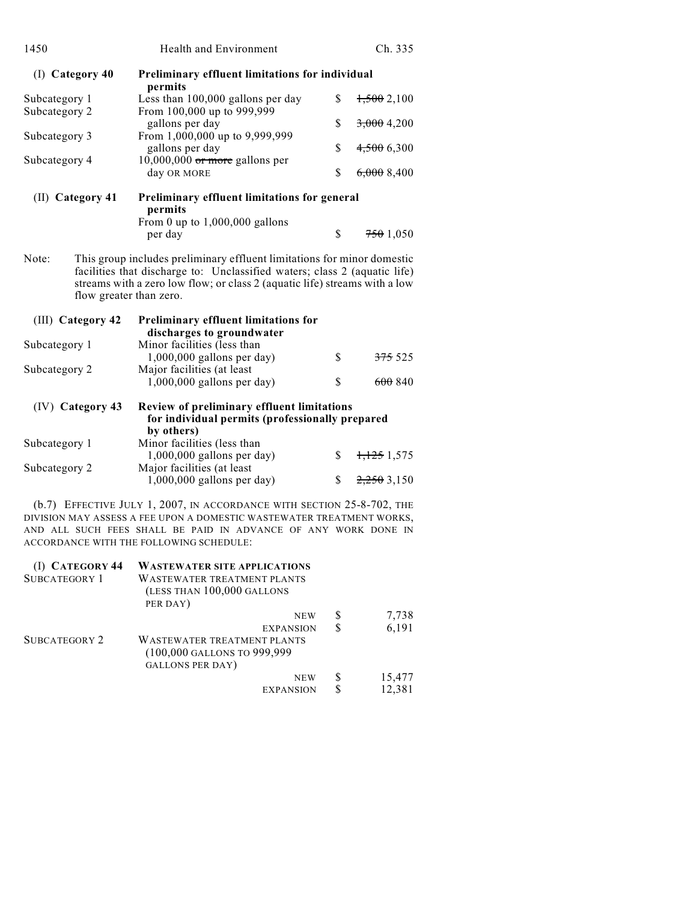| 1450                                                                                                                            | Health and Environment                                                                                                                                                                                                             | Ch. 335 |               |  |  |
|---------------------------------------------------------------------------------------------------------------------------------|------------------------------------------------------------------------------------------------------------------------------------------------------------------------------------------------------------------------------------|---------|---------------|--|--|
| (I) Category 40                                                                                                                 | Preliminary effluent limitations for individual<br>permits                                                                                                                                                                         |         |               |  |  |
| Subcategory 1                                                                                                                   | Less than 100,000 gallons per day                                                                                                                                                                                                  | \$      | 1,5002,100    |  |  |
| Subcategory 2                                                                                                                   | From 100,000 up to 999,999<br>gallons per day                                                                                                                                                                                      | \$      | 3,0004,200    |  |  |
| Subcategory 3                                                                                                                   | From 1,000,000 up to 9,999,999                                                                                                                                                                                                     |         |               |  |  |
| Subcategory 4                                                                                                                   | gallons per day<br>$10,000,000$ or more gallons per                                                                                                                                                                                | \$      | 4,500 6,300   |  |  |
|                                                                                                                                 | day OR MORE                                                                                                                                                                                                                        | \$      | 6,000 8,400   |  |  |
| (II) Category 41                                                                                                                | Preliminary effluent limitations for general<br>permits                                                                                                                                                                            |         |               |  |  |
|                                                                                                                                 | From 0 up to $1,000,000$ gallons<br>per day                                                                                                                                                                                        | \$      | 7501,050      |  |  |
| Note:<br>flow greater than zero.                                                                                                | This group includes preliminary effluent limitations for minor domestic<br>facilities that discharge to: Unclassified waters; class 2 (aquatic life)<br>streams with a zero low flow; or class 2 (aquatic life) streams with a low |         |               |  |  |
| (III) Category 42                                                                                                               | Preliminary effluent limitations for<br>discharges to groundwater                                                                                                                                                                  |         |               |  |  |
| Subcategory 1                                                                                                                   | Minor facilities (less than                                                                                                                                                                                                        |         |               |  |  |
|                                                                                                                                 | $1,000,000$ gallons per day)                                                                                                                                                                                                       | \$      | 375 525       |  |  |
| Subcategory 2                                                                                                                   | Major facilities (at least                                                                                                                                                                                                         |         |               |  |  |
|                                                                                                                                 | $1,000,000$ gallons per day)                                                                                                                                                                                                       | \$      | 600 840       |  |  |
| (IV) Category 43<br>Review of preliminary effluent limitations<br>for individual permits (professionally prepared<br>by others) |                                                                                                                                                                                                                                    |         |               |  |  |
| Subcategory 1                                                                                                                   | Minor facilities (less than                                                                                                                                                                                                        |         |               |  |  |
|                                                                                                                                 | 1,000,000 gallons per day)                                                                                                                                                                                                         | S.      | $1,125$ 1,575 |  |  |
| Subcategory 2                                                                                                                   | Major facilities (at least<br>1,000,000 gallons per day)                                                                                                                                                                           | \$      | $2,250$ 3,150 |  |  |
|                                                                                                                                 | (b.7) EFFECTIVE JULY 1, 2007, IN ACCORDANCE WITH SECTION 25-8-702, THE<br>DIVICION MAY ACCESS A EEE HIDOM A DOMESTIC WASTEMATED TREATMENT WORKS                                                                                    |         |               |  |  |

DIVISION MAY ASSESS A FEE UPON A DOMESTIC WASTEWATER TREATMENT WORKS, AND ALL SUCH FEES SHALL BE PAID IN ADVANCE OF ANY WORK DONE IN ACCORDANCE WITH THE FOLLOWING SCHEDULE:

| (I) CATEGORY 44      | <b>WASTEWATER SITE APPLICATIONS</b>                                                    |   |        |
|----------------------|----------------------------------------------------------------------------------------|---|--------|
| <b>SUBCATEGORY 1</b> | WASTEWATER TREATMENT PLANTS<br>(LESS THAN 100,000 GALLONS                              |   |        |
|                      | PER DAY)                                                                               |   |        |
|                      | <b>NEW</b>                                                                             | S | 7,738  |
|                      | <b>EXPANSION</b>                                                                       |   | 6,191  |
| SUBCATEGORY 2        | WASTEWATER TREATMENT PLANTS<br>(100,000 GALLONS TO 999,999)<br><b>GALLONS PER DAY)</b> |   |        |
|                      | <b>NEW</b>                                                                             | S | 15,477 |
|                      | <b>EXPANSION</b>                                                                       | S | 12,381 |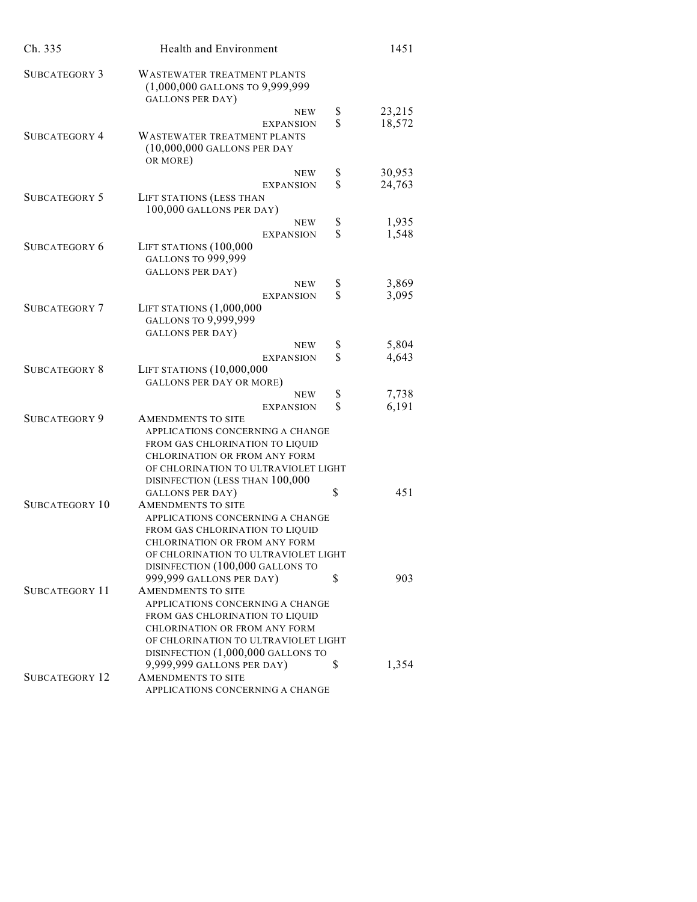| Ch. 335               | Health and Environment                                                                                                                                                                                          | 1451         |
|-----------------------|-----------------------------------------------------------------------------------------------------------------------------------------------------------------------------------------------------------------|--------------|
| SUBCATEGORY 3         | <b>WASTEWATER TREATMENT PLANTS</b><br>(1,000,000 GALLONS TO 9,999,999<br>GALLONS PER DAY)                                                                                                                       |              |
|                       | NEW                                                                                                                                                                                                             | \$<br>23,215 |
|                       | <b>EXPANSION</b>                                                                                                                                                                                                | \$<br>18,572 |
| <b>SUBCATEGORY 4</b>  | WASTEWATER TREATMENT PLANTS<br>$(10,000,000$ GALLONS PER DAY<br>OR MORE)                                                                                                                                        |              |
|                       | NEW                                                                                                                                                                                                             | \$<br>30,953 |
|                       | <b>EXPANSION</b>                                                                                                                                                                                                | \$<br>24,763 |
| <b>SUBCATEGORY 5</b>  | LIFT STATIONS (LESS THAN<br>100,000 GALLONS PER DAY)                                                                                                                                                            |              |
|                       | NEW                                                                                                                                                                                                             | \$<br>1,935  |
|                       | <b>EXPANSION</b>                                                                                                                                                                                                | \$<br>1,548  |
| SUBCATEGORY 6         | LIFT STATIONS (100,000<br><b>GALLONS TO 999,999</b>                                                                                                                                                             |              |
|                       | <b>GALLONS PER DAY)</b><br>NEW                                                                                                                                                                                  | \$<br>3,869  |
|                       | <b>EXPANSION</b>                                                                                                                                                                                                | \$<br>3,095  |
| <b>SUBCATEGORY 7</b>  | LIFT STATIONS (1,000,000<br>GALLONS TO 9,999,999<br><b>GALLONS PER DAY)</b>                                                                                                                                     |              |
|                       | NEW                                                                                                                                                                                                             | \$<br>5,804  |
|                       | <b>EXPANSION</b>                                                                                                                                                                                                | \$<br>4,643  |
| <b>SUBCATEGORY 8</b>  | LIFT STATIONS (10,000,000                                                                                                                                                                                       |              |
|                       | <b>GALLONS PER DAY OR MORE)</b>                                                                                                                                                                                 |              |
|                       | NEW                                                                                                                                                                                                             | \$<br>7,738  |
|                       | <b>EXPANSION</b>                                                                                                                                                                                                | \$<br>6,191  |
| SUBCATEGORY 9         | <b>AMENDMENTS TO SITE</b><br>APPLICATIONS CONCERNING A CHANGE<br>FROM GAS CHLORINATION TO LIQUID<br>CHLORINATION OR FROM ANY FORM<br>OF CHLORINATION TO ULTRAVIOLET LIGHT<br>DISINFECTION (LESS THAN 100,000    |              |
|                       | <b>GALLONS PER DAY)</b>                                                                                                                                                                                         | \$<br>451    |
| SUBCATEGORY 10        | <b>AMENDMENTS TO SITE</b><br>APPLICATIONS CONCERNING A CHANGE<br>FROM GAS CHLORINATION TO LIQUID<br>CHLORINATION OR FROM ANY FORM<br>OF CHLORINATION TO ULTRAVIOLET LIGHT<br>DISINFECTION (100,000 GALLONS TO   |              |
|                       | 999,999 GALLONS PER DAY)                                                                                                                                                                                        | \$<br>903    |
| <b>SUBCATEGORY 11</b> | <b>AMENDMENTS TO SITE</b><br>APPLICATIONS CONCERNING A CHANGE<br>FROM GAS CHLORINATION TO LIQUID<br>CHLORINATION OR FROM ANY FORM<br>OF CHLORINATION TO ULTRAVIOLET LIGHT<br>DISINFECTION (1,000,000 GALLONS TO |              |
|                       | 9,999,999 GALLONS PER DAY)                                                                                                                                                                                      | \$<br>1,354  |
| <b>SUBCATEGORY 12</b> | <b>AMENDMENTS TO SITE</b><br>APPLICATIONS CONCERNING A CHANGE                                                                                                                                                   |              |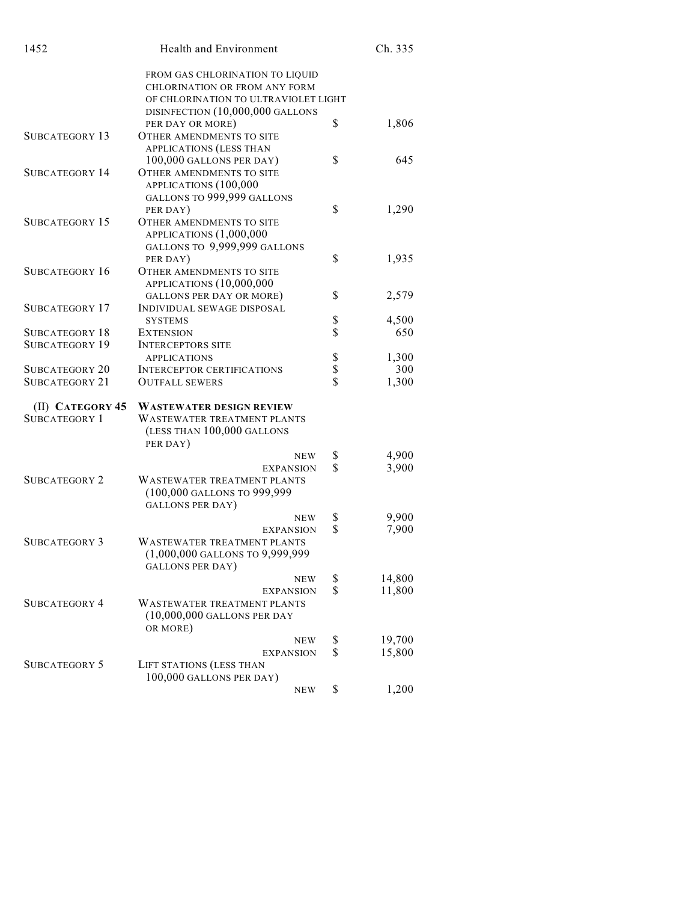| 1452                  | Health and Environment                               |          | Ch. 335      |
|-----------------------|------------------------------------------------------|----------|--------------|
|                       | FROM GAS CHLORINATION TO LIQUID                      |          |              |
|                       | CHLORINATION OR FROM ANY FORM                        |          |              |
|                       | OF CHLORINATION TO ULTRAVIOLET LIGHT                 |          |              |
|                       | DISINFECTION (10,000,000 GALLONS                     |          |              |
|                       | PER DAY OR MORE)                                     | \$       | 1,806        |
| SUBCATEGORY 13        | <b>OTHER AMENDMENTS TO SITE</b>                      |          |              |
|                       | APPLICATIONS (LESS THAN                              |          |              |
|                       | 100,000 GALLONS PER DAY)                             | \$       | 645          |
| <b>SUBCATEGORY 14</b> | OTHER AMENDMENTS TO SITE                             |          |              |
|                       | APPLICATIONS (100,000                                |          |              |
|                       | GALLONS TO 999,999 GALLONS                           |          |              |
|                       | PER DAY)                                             | \$       | 1,290        |
| SUBCATEGORY 15        | OTHER AMENDMENTS TO SITE                             |          |              |
|                       | APPLICATIONS (1,000,000                              |          |              |
|                       | GALLONS TO 9,999,999 GALLONS                         |          |              |
|                       | PER DAY)                                             | \$       | 1,935        |
| <b>SUBCATEGORY 16</b> | OTHER AMENDMENTS TO SITE                             |          |              |
|                       | APPLICATIONS (10,000,000                             |          |              |
|                       | <b>GALLONS PER DAY OR MORE)</b>                      | \$       | 2,579        |
| <b>SUBCATEGORY 17</b> | INDIVIDUAL SEWAGE DISPOSAL                           |          |              |
| <b>SUBCATEGORY 18</b> | <b>SYSTEMS</b><br><b>EXTENSION</b>                   | \$<br>\$ | 4,500<br>650 |
| <b>SUBCATEGORY 19</b> | <b>INTERCEPTORS SITE</b>                             |          |              |
|                       | <b>APPLICATIONS</b>                                  | \$       | 1,300        |
| <b>SUBCATEGORY 20</b> | <b>INTERCEPTOR CERTIFICATIONS</b>                    |          | 300          |
| <b>SUBCATEGORY 21</b> | <b>OUTFALL SEWERS</b>                                | \$       | 1,300        |
| (II) CATEGORY 45      | <b>WASTEWATER DESIGN REVIEW</b>                      |          |              |
| <b>SUBCATEGORY 1</b>  | <b>WASTEWATER TREATMENT PLANTS</b>                   |          |              |
|                       | (LESS THAN 100,000 GALLONS                           |          |              |
|                       | PER DAY)                                             |          |              |
|                       | <b>NEW</b>                                           | \$       | 4,900        |
|                       | <b>EXPANSION</b>                                     | \$       | 3,900        |
| <b>SUBCATEGORY 2</b>  | WASTEWATER TREATMENT PLANTS                          |          |              |
|                       | (100,000 GALLONS TO 999,999                          |          |              |
|                       | <b>GALLONS PER DAY)</b>                              |          |              |
|                       | <b>NEW</b>                                           | \$       | 9,900        |
|                       | <b>EXPANSION</b>                                     | \$       | 7,900        |
| <b>SUBCATEGORY 3</b>  | <b>WASTEWATER TREATMENT PLANTS</b>                   |          |              |
|                       | (1,000,000 GALLONS TO 9,999,999<br>GALLONS PER DAY)  |          |              |
|                       | NEW                                                  | \$       | 14,800       |
|                       | <b>EXPANSION</b>                                     | \$       | 11,800       |
| <b>SUBCATEGORY 4</b>  | <b>WASTEWATER TREATMENT PLANTS</b>                   |          |              |
|                       | (10,000,000 GALLONS PER DAY                          |          |              |
|                       | OR MORE)                                             |          |              |
|                       | NEW                                                  | \$       | 19,700       |
|                       | <b>EXPANSION</b>                                     | \$       | 15,800       |
| <b>SUBCATEGORY 5</b>  | LIFT STATIONS (LESS THAN<br>100,000 GALLONS PER DAY) |          |              |
|                       | <b>NEW</b>                                           | \$       | 1,200        |
|                       |                                                      |          |              |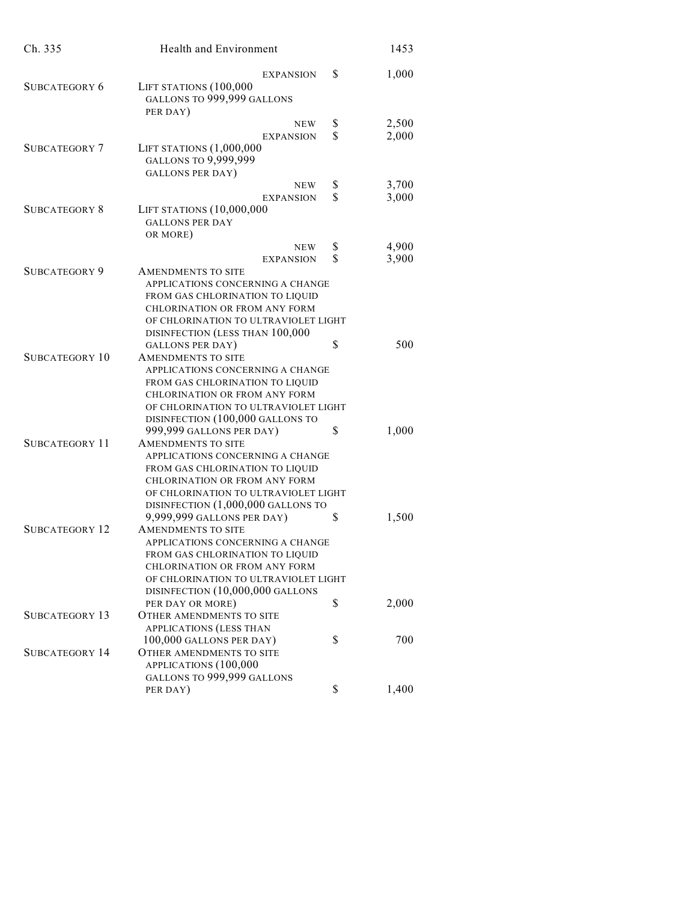| Ch. 335               | <b>Health and Environment</b>                       |                  | 1453     |       |
|-----------------------|-----------------------------------------------------|------------------|----------|-------|
| SUBCATEGORY 6         | LIFT STATIONS (100,000                              | <b>EXPANSION</b> | S        | 1,000 |
|                       | GALLONS TO 999,999 GALLONS                          |                  |          |       |
|                       | PER DAY)                                            |                  |          |       |
|                       |                                                     | <b>NEW</b>       | \$<br>\$ | 2,500 |
| <b>SUBCATEGORY 7</b>  |                                                     | <b>EXPANSION</b> |          | 2,000 |
|                       | LIFT STATIONS (1,000,000<br>GALLONS TO 9,999,999    |                  |          |       |
|                       |                                                     |                  |          |       |
|                       | <b>GALLONS PER DAY)</b>                             |                  | \$       | 3,700 |
|                       |                                                     | <b>NEW</b>       | \$       | 3,000 |
| SUBCATEGORY 8         |                                                     | <b>EXPANSION</b> |          |       |
|                       | LIFT STATIONS (10,000,000<br><b>GALLONS PER DAY</b> |                  |          |       |
|                       | OR MORE)                                            |                  |          |       |
|                       |                                                     | NEW              | \$       | 4,900 |
|                       |                                                     | <b>EXPANSION</b> | \$       | 3,900 |
| SUBCATEGORY 9         | <b>AMENDMENTS TO SITE</b>                           |                  |          |       |
|                       | APPLICATIONS CONCERNING A CHANGE                    |                  |          |       |
|                       | FROM GAS CHLORINATION TO LIQUID                     |                  |          |       |
|                       | CHLORINATION OR FROM ANY FORM                       |                  |          |       |
|                       | OF CHLORINATION TO ULTRAVIOLET LIGHT                |                  |          |       |
|                       | DISINFECTION (LESS THAN 100,000                     |                  |          |       |
|                       | <b>GALLONS PER DAY)</b>                             |                  | \$       | 500   |
| SUBCATEGORY 10        | <b>AMENDMENTS TO SITE</b>                           |                  |          |       |
|                       | APPLICATIONS CONCERNING A CHANGE                    |                  |          |       |
|                       | FROM GAS CHLORINATION TO LIQUID                     |                  |          |       |
|                       | CHLORINATION OR FROM ANY FORM                       |                  |          |       |
|                       | OF CHLORINATION TO ULTRAVIOLET LIGHT                |                  |          |       |
|                       | DISINFECTION (100,000 GALLONS TO                    |                  |          |       |
|                       | 999,999 GALLONS PER DAY)                            |                  | \$       | 1,000 |
| SUBCATEGORY 11        | <b>AMENDMENTS TO SITE</b>                           |                  |          |       |
|                       | APPLICATIONS CONCERNING A CHANGE                    |                  |          |       |
|                       | FROM GAS CHLORINATION TO LIQUID                     |                  |          |       |
|                       | CHLORINATION OR FROM ANY FORM                       |                  |          |       |
|                       | OF CHLORINATION TO ULTRAVIOLET LIGHT                |                  |          |       |
|                       | DISINFECTION (1,000,000 GALLONS TO                  |                  |          |       |
|                       | 9,999,999 GALLONS PER DAY)                          |                  | \$       | 1,500 |
| SUBCATEGORY 12        | AMENDMENTS TO SITE                                  |                  |          |       |
|                       | APPLICATIONS CONCERNING A CHANGE                    |                  |          |       |
|                       | FROM GAS CHLORINATION TO LIQUID                     |                  |          |       |
|                       | <b>CHLORINATION OR FROM ANY FORM</b>                |                  |          |       |
|                       | OF CHLORINATION TO ULTRAVIOLET LIGHT                |                  |          |       |
|                       | DISINFECTION (10,000,000 GALLONS                    |                  |          |       |
|                       | PER DAY OR MORE)                                    |                  | \$       | 2,000 |
| <b>SUBCATEGORY 13</b> | <b>OTHER AMENDMENTS TO SITE</b>                     |                  |          |       |
|                       | <b>APPLICATIONS (LESS THAN</b>                      |                  |          |       |
|                       | 100,000 GALLONS PER DAY)                            |                  | \$       | 700   |
| <b>SUBCATEGORY 14</b> | OTHER AMENDMENTS TO SITE                            |                  |          |       |
|                       | APPLICATIONS (100,000                               |                  |          |       |
|                       | GALLONS TO 999,999 GALLONS                          |                  |          |       |
|                       | PER DAY)                                            |                  | \$       | 1,400 |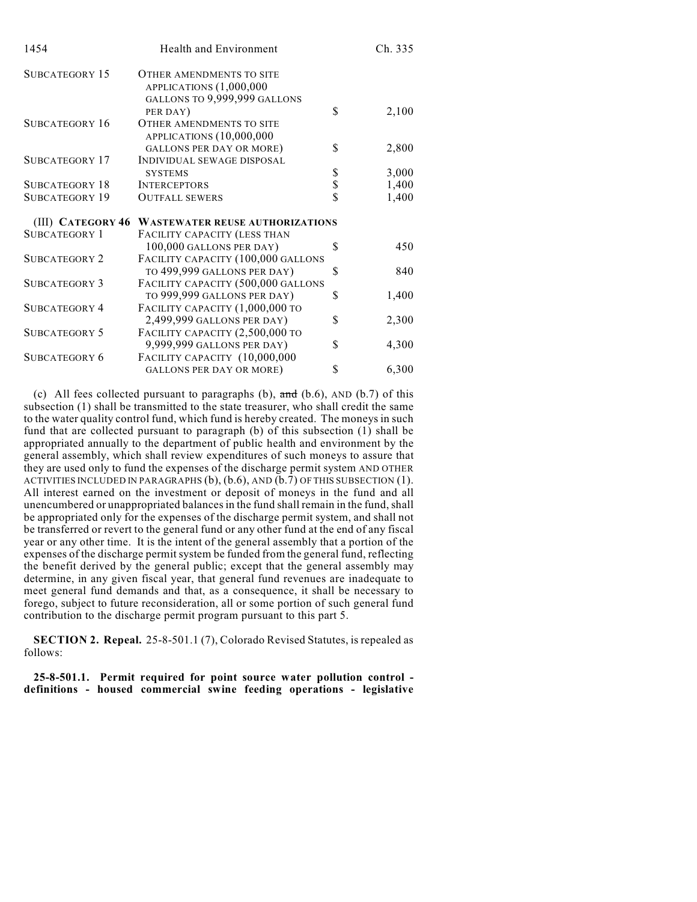| 1454                  | Health and Environment                                                              | Ch. 335     |
|-----------------------|-------------------------------------------------------------------------------------|-------------|
| SUBCATEGORY 15        | OTHER AMENDMENTS TO SITE<br>APPLICATIONS (1,000,000<br>GALLONS TO 9,999,999 GALLONS |             |
|                       | PER DAY)                                                                            | \$<br>2,100 |
| <b>SUBCATEGORY 16</b> | OTHER AMENDMENTS TO SITE<br>APPLICATIONS (10,000,000                                |             |
|                       | GALLONS PER DAY OR MORE)                                                            | \$<br>2,800 |
| SUBCATEGORY 17        | <b>INDIVIDUAL SEWAGE DISPOSAL</b>                                                   |             |
|                       | <b>SYSTEMS</b>                                                                      | \$<br>3,000 |
| SUBCATEGORY 18        | <b>INTERCEPTORS</b>                                                                 | \$<br>1,400 |
| SUBCATEGORY 19        | <b>OUTFALL SEWERS</b>                                                               | \$<br>1,400 |
|                       |                                                                                     |             |
| (III) CATEGORY 46     | <b>WASTEWATER REUSE AUTHORIZATIONS</b>                                              |             |
| SUBCATEGORY 1         |                                                                                     |             |
|                       | FACILITY CAPACITY (LESS THAN<br>100,000 GALLONS PER DAY)                            | \$<br>450   |
| <b>SUBCATEGORY 2</b>  |                                                                                     |             |
|                       | FACILITY CAPACITY (100,000 GALLONS<br>TO 499,999 GALLONS PER DAY)                   | \$<br>840   |
| SUBCATEGORY 3         | FACILITY CAPACITY (500,000 GALLONS                                                  |             |
|                       |                                                                                     | \$<br>1,400 |
| <b>SUBCATEGORY 4</b>  | TO 999,999 GALLONS PER DAY)                                                         |             |
|                       | FACILITY CAPACITY (1,000,000 TO<br>2,499,999 GALLONS PER DAY)                       | \$<br>2,300 |
| SUBCATEGORY 5         |                                                                                     |             |
|                       | FACILITY CAPACITY (2,500,000 TO                                                     | \$<br>4,300 |
| SUBCATEGORY 6         | 9,999,999 GALLONS PER DAY)                                                          |             |
|                       | FACILITY CAPACITY (10,000,000<br>GALLONS PER DAY OR MORE)                           | \$<br>6,300 |

(c) All fees collected pursuant to paragraphs (b),  $\overline{\text{and}}$  (b.6), AND (b.7) of this subsection (1) shall be transmitted to the state treasurer, who shall credit the same to the water quality control fund, which fund is hereby created. The moneys in such fund that are collected pursuant to paragraph (b) of this subsection (1) shall be appropriated annually to the department of public health and environment by the general assembly, which shall review expenditures of such moneys to assure that they are used only to fund the expenses of the discharge permit system AND OTHER ACTIVITIES INCLUDED IN PARAGRAPHS (b), (b.6), AND (b.7) OF THIS SUBSECTION (1). All interest earned on the investment or deposit of moneys in the fund and all unencumbered or unappropriated balances in the fund shall remain in the fund, shall be appropriated only for the expenses of the discharge permit system, and shall not be transferred or revert to the general fund or any other fund at the end of any fiscal year or any other time. It is the intent of the general assembly that a portion of the expenses of the discharge permit system be funded from the general fund, reflecting the benefit derived by the general public; except that the general assembly may determine, in any given fiscal year, that general fund revenues are inadequate to meet general fund demands and that, as a consequence, it shall be necessary to forego, subject to future reconsideration, all or some portion of such general fund contribution to the discharge permit program pursuant to this part 5.

**SECTION 2. Repeal.** 25-8-501.1 (7), Colorado Revised Statutes, is repealed as follows:

**25-8-501.1. Permit required for point source water pollution control definitions - housed commercial swine feeding operations - legislative**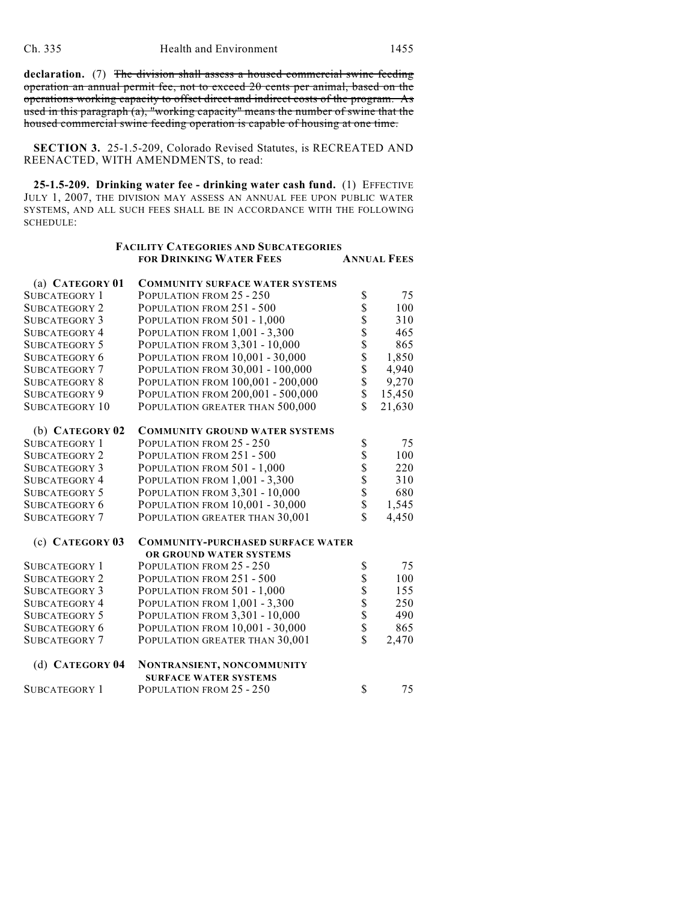**declaration.** (7) The division shall assess a housed commercial swine feeding operation an annual permit fee, not to exceed 20 cents per animal, based on the operations working capacity to offset direct and indirect costs of the program. As used in this paragraph (a), "working capacity" means the number of swine that the housed commercial swine feeding operation is capable of housing at one time.

**SECTION 3.** 25-1.5-209, Colorado Revised Statutes, is RECREATED AND REENACTED, WITH AMENDMENTS, to read:

**25-1.5-209. Drinking water fee - drinking water cash fund.** (1) EFFECTIVE JULY 1, 2007, THE DIVISION MAY ASSESS AN ANNUAL FEE UPON PUBLIC WATER SYSTEMS, AND ALL SUCH FEES SHALL BE IN ACCORDANCE WITH THE FOLLOWING SCHEDULE:

## **FACILITY CATEGORIES AND SUBCATEGORIES<br>
<b>FOR DRINKING WATER FEES** ANNUAL FEES **FOR DRINKING WATER FEES**

| (a) CATEGORY 01      | <b>COMMUNITY SURFACE WATER SYSTEMS</b>                     |                         |        |
|----------------------|------------------------------------------------------------|-------------------------|--------|
| <b>SUBCATEGORY 1</b> | POPULATION FROM 25 - 250                                   | \$                      | 75     |
| <b>SUBCATEGORY 2</b> | POPULATION FROM 251 - 500                                  | \$                      | 100    |
| <b>SUBCATEGORY 3</b> | POPULATION FROM 501 - 1,000                                | \$                      | 310    |
| <b>SUBCATEGORY 4</b> | POPULATION FROM 1,001 - 3,300                              | \$                      | 465    |
| <b>SUBCATEGORY 5</b> | POPULATION FROM 3,301 - 10,000                             | \$                      | 865    |
| SUBCATEGORY 6        | POPULATION FROM 10,001 - 30,000                            | \$                      | 1,850  |
| <b>SUBCATEGORY 7</b> | POPULATION FROM 30,001 - 100,000                           | \$                      | 4,940  |
| <b>SUBCATEGORY 8</b> | POPULATION FROM 100,001 - 200,000                          | \$                      | 9,270  |
| SUBCATEGORY 9        | POPULATION FROM 200,001 - 500,000                          | \$                      | 15,450 |
| SUBCATEGORY 10       | POPULATION GREATER THAN 500,000                            | \$                      | 21,630 |
| (b) CATEGORY $02$    | <b>COMMUNITY GROUND WATER SYSTEMS</b>                      |                         |        |
| <b>SUBCATEGORY 1</b> | POPULATION FROM 25 - 250                                   | \$                      | 75     |
| <b>SUBCATEGORY 2</b> | POPULATION FROM 251 - 500                                  | \$                      | 100    |
| SUBCATEGORY 3        | POPULATION FROM 501 - 1,000                                | \$                      | 220    |
| <b>SUBCATEGORY 4</b> | POPULATION FROM 1,001 - 3,300                              | \$                      | 310    |
| <b>SUBCATEGORY 5</b> | POPULATION FROM 3,301 - 10,000                             | \$                      | 680    |
| SUBCATEGORY 6        | POPULATION FROM 10,001 - 30,000                            | \$                      | 1,545  |
| <b>SUBCATEGORY 7</b> | POPULATION GREATER THAN 30,001                             | \$                      | 4,450  |
| (c) CATEGORY $03$    | <b>COMMUNITY-PURCHASED SURFACE WATER</b>                   |                         |        |
|                      | OR GROUND WATER SYSTEMS                                    |                         |        |
| SUBCATEGORY 1        | POPULATION FROM 25 - 250                                   | \$                      | 75     |
| <b>SUBCATEGORY 2</b> | POPULATION FROM 251 - 500                                  | \$                      | 100    |
| SUBCATEGORY 3        | POPULATION FROM 501 - 1,000                                | \$                      | 155    |
| <b>SUBCATEGORY 4</b> | POPULATION FROM 1,001 - 3,300                              | \$                      | 250    |
| <b>SUBCATEGORY 5</b> | POPULATION FROM 3,301 - 10,000                             | \$                      | 490    |
| <b>SUBCATEGORY 6</b> | POPULATION FROM 10,001 - 30,000                            | \$                      | 865    |
| <b>SUBCATEGORY 7</b> | POPULATION GREATER THAN 30,001                             | $\overline{\mathbb{S}}$ | 2,470  |
| (d) CATEGORY $04$    | NONTRANSIENT, NONCOMMUNITY<br><b>SURFACE WATER SYSTEMS</b> |                         |        |
| SUBCATEGORY 1        | POPULATION FROM 25 - 250                                   | \$                      | 75     |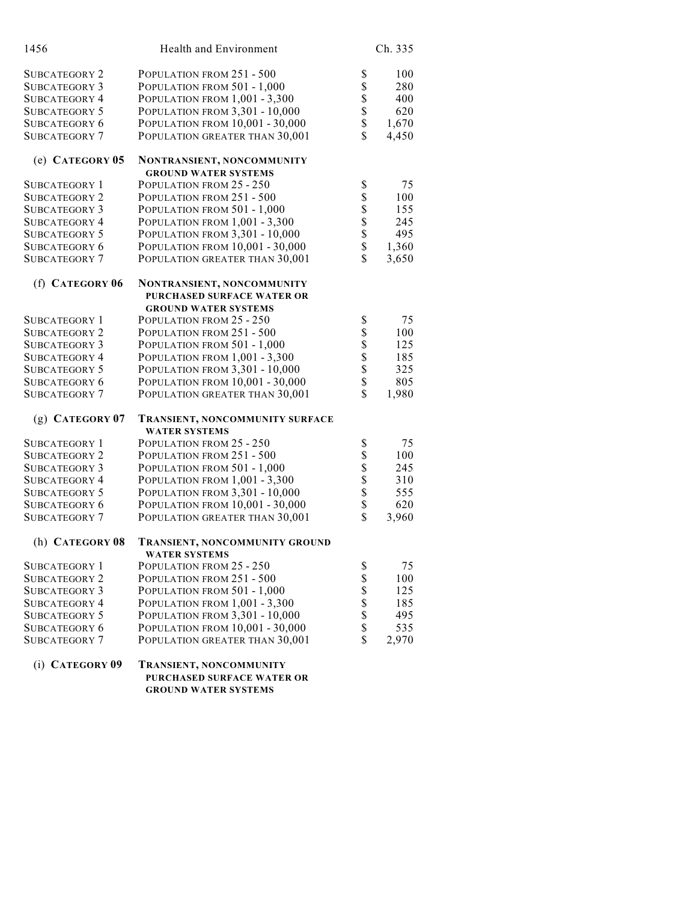| 1456                 | Health and Environment          |                                                                   | Ch. 335 |
|----------------------|---------------------------------|-------------------------------------------------------------------|---------|
|                      |                                 |                                                                   |         |
| <b>SUBCATEGORY 2</b> | POPULATION FROM 251 - 500       | \$                                                                | 100     |
| <b>SUBCATEGORY 3</b> | POPULATION FROM 501 - 1,000     | \$\$\$                                                            | 280     |
| <b>SUBCATEGORY 4</b> | POPULATION FROM 1,001 - 3,300   |                                                                   | 400     |
| <b>SUBCATEGORY 5</b> | POPULATION FROM 3,301 - 10,000  |                                                                   | 620     |
| SUBCATEGORY 6        | POPULATION FROM 10,001 - 30,000 |                                                                   | 1,670   |
| <b>SUBCATEGORY 7</b> | POPULATION GREATER THAN 30,001  | \$                                                                | 4,450   |
| $(e)$ CATEGORY 05    | NONTRANSIENT, NONCOMMUNITY      |                                                                   |         |
|                      | <b>GROUND WATER SYSTEMS</b>     |                                                                   |         |
| <b>SUBCATEGORY 1</b> | POPULATION FROM 25 - 250        |                                                                   | 75      |
| <b>SUBCATEGORY 2</b> | POPULATION FROM 251 - 500       |                                                                   | 100     |
| <b>SUBCATEGORY 3</b> | POPULATION FROM 501 - 1,000     | \$<br>\$\$\$\$<br>\$\$                                            | 155     |
| <b>SUBCATEGORY 4</b> | POPULATION FROM 1,001 - 3,300   |                                                                   | 245     |
| SUBCATEGORY 5        | POPULATION FROM 3,301 - 10,000  |                                                                   | 495     |
| SUBCATEGORY 6        | POPULATION FROM 10,001 - 30,000 |                                                                   | 1,360   |
| <b>SUBCATEGORY 7</b> | POPULATION GREATER THAN 30,001  | \$                                                                | 3,650   |
| (f) CATEGORY 06      | NONTRANSIENT, NONCOMMUNITY      |                                                                   |         |
|                      | PURCHASED SURFACE WATER OR      |                                                                   |         |
|                      | <b>GROUND WATER SYSTEMS</b>     |                                                                   |         |
| <b>SUBCATEGORY 1</b> | POPULATION FROM 25 - 250        |                                                                   | 75      |
| <b>SUBCATEGORY 2</b> | POPULATION FROM 251 - 500       |                                                                   | 100     |
| <b>SUBCATEGORY 3</b> | POPULATION FROM 501 - 1,000     |                                                                   | 125     |
| <b>SUBCATEGORY 4</b> | POPULATION FROM 1,001 - 3,300   |                                                                   | 185     |
| SUBCATEGORY 5        | POPULATION FROM 3,301 - 10,000  | S<br>S<br>S<br>S<br>S<br>S<br>S<br>S<br>S<br>S<br>S<br>S<br>S<br> | 325     |
| SUBCATEGORY 6        | POPULATION FROM 10,001 - 30,000 |                                                                   | 805     |
| <b>SUBCATEGORY 7</b> | POPULATION GREATER THAN 30,001  | \$                                                                | 1,980   |
| $(g)$ CATEGORY 07    | TRANSIENT, NONCOMMUNITY SURFACE |                                                                   |         |
|                      | <b>WATER SYSTEMS</b>            |                                                                   |         |
| <b>SUBCATEGORY 1</b> | POPULATION FROM 25 - 250        |                                                                   | 75      |
| <b>SUBCATEGORY 2</b> | POPULATION FROM 251 - 500       | \$<br>\$\$\$\$<br>\$\$                                            | 100     |
| <b>SUBCATEGORY 3</b> | POPULATION FROM 501 - 1,000     |                                                                   | 245     |
| <b>SUBCATEGORY 4</b> | POPULATION FROM 1,001 - 3,300   |                                                                   | 310     |
| SUBCATEGORY 5        | POPULATION FROM 3,301 - 10,000  |                                                                   | 555     |
| <b>SUBCATEGORY 6</b> | POPULATION FROM 10,001 - 30,000 |                                                                   | 620     |
| <b>SUBCATEGORY 7</b> | POPULATION GREATER THAN 30,001  | .<br>\$                                                           | 3,960   |
| (h) CATEGORY 08      | TRANSIENT, NONCOMMUNITY GROUND  |                                                                   |         |
|                      | <b>WATER SYSTEMS</b>            |                                                                   |         |
| SUBCATEGORY 1        | POPULATION FROM 25 - 250        | \$                                                                | 75      |
| <b>SUBCATEGORY 2</b> | POPULATION FROM 251 - 500       |                                                                   | 100     |
| SUBCATEGORY 3        | POPULATION FROM 501 - 1,000     |                                                                   | 125     |
| <b>SUBCATEGORY 4</b> | POPULATION FROM 1,001 - 3,300   | <b>SSSS</b>                                                       | 185     |
| <b>SUBCATEGORY 5</b> | POPULATION FROM 3,301 - 10,000  |                                                                   | 495     |
| SUBCATEGORY 6        | POPULATION FROM 10,001 - 30,000 |                                                                   | 535     |
| <b>SUBCATEGORY 7</b> | POPULATION GREATER THAN 30,001  | \$                                                                | 2,970   |
| (i) CATEGORY 09      | TRANSIENT, NONCOMMUNITY         |                                                                   |         |
|                      | PURCHASED SURFACE WATER OR      |                                                                   |         |

 **GROUND WATER SYSTEMS**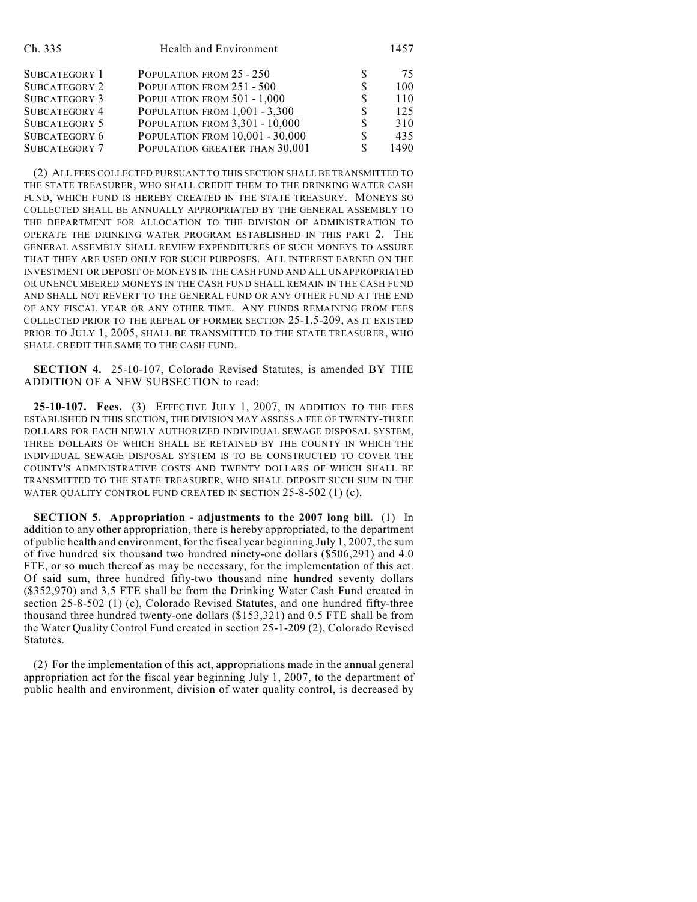| Health and Environment          |     | 1457 |
|---------------------------------|-----|------|
| POPULATION FROM 25 - 250        |     | 75   |
| POPULATION FROM 251 - 500       | \$. | 100  |
| POPULATION FROM 501 - 1,000     |     | 110  |
| POPULATION FROM $1,001 - 3,300$ | \$. | 125  |
| POPULATION FROM 3,301 - 10,000  |     | 310  |
| POPULATION FROM 10,001 - 30,000 |     | 435  |
| POPULATION GREATER THAN 30,001  |     | 1490 |
|                                 |     |      |

(2) ALL FEES COLLECTED PURSUANT TO THIS SECTION SHALL BE TRANSMITTED TO THE STATE TREASURER, WHO SHALL CREDIT THEM TO THE DRINKING WATER CASH FUND, WHICH FUND IS HEREBY CREATED IN THE STATE TREASURY. MONEYS SO COLLECTED SHALL BE ANNUALLY APPROPRIATED BY THE GENERAL ASSEMBLY TO THE DEPARTMENT FOR ALLOCATION TO THE DIVISION OF ADMINISTRATION TO OPERATE THE DRINKING WATER PROGRAM ESTABLISHED IN THIS PART 2. THE GENERAL ASSEMBLY SHALL REVIEW EXPENDITURES OF SUCH MONEYS TO ASSURE THAT THEY ARE USED ONLY FOR SUCH PURPOSES. ALL INTEREST EARNED ON THE INVESTMENT OR DEPOSIT OF MONEYS IN THE CASH FUND AND ALL UNAPPROPRIATED OR UNENCUMBERED MONEYS IN THE CASH FUND SHALL REMAIN IN THE CASH FUND AND SHALL NOT REVERT TO THE GENERAL FUND OR ANY OTHER FUND AT THE END OF ANY FISCAL YEAR OR ANY OTHER TIME. ANY FUNDS REMAINING FROM FEES COLLECTED PRIOR TO THE REPEAL OF FORMER SECTION 25-1.5-209, AS IT EXISTED PRIOR TO JULY 1, 2005, SHALL BE TRANSMITTED TO THE STATE TREASURER, WHO SHALL CREDIT THE SAME TO THE CASH FUND.

**SECTION 4.** 25-10-107, Colorado Revised Statutes, is amended BY THE ADDITION OF A NEW SUBSECTION to read:

**25-10-107. Fees.** (3) EFFECTIVE JULY 1, 2007, IN ADDITION TO THE FEES ESTABLISHED IN THIS SECTION, THE DIVISION MAY ASSESS A FEE OF TWENTY-THREE DOLLARS FOR EACH NEWLY AUTHORIZED INDIVIDUAL SEWAGE DISPOSAL SYSTEM, THREE DOLLARS OF WHICH SHALL BE RETAINED BY THE COUNTY IN WHICH THE INDIVIDUAL SEWAGE DISPOSAL SYSTEM IS TO BE CONSTRUCTED TO COVER THE COUNTY'S ADMINISTRATIVE COSTS AND TWENTY DOLLARS OF WHICH SHALL BE TRANSMITTED TO THE STATE TREASURER, WHO SHALL DEPOSIT SUCH SUM IN THE WATER QUALITY CONTROL FUND CREATED IN SECTION 25-8-502 (1) (c).

**SECTION 5. Appropriation - adjustments to the 2007 long bill.** (1) In addition to any other appropriation, there is hereby appropriated, to the department of public health and environment, for the fiscal year beginning July 1, 2007, the sum of five hundred six thousand two hundred ninety-one dollars (\$506,291) and 4.0 FTE, or so much thereof as may be necessary, for the implementation of this act. Of said sum, three hundred fifty-two thousand nine hundred seventy dollars (\$352,970) and 3.5 FTE shall be from the Drinking Water Cash Fund created in section 25-8-502 (1) (c), Colorado Revised Statutes, and one hundred fifty-three thousand three hundred twenty-one dollars (\$153,321) and 0.5 FTE shall be from the Water Quality Control Fund created in section 25-1-209 (2), Colorado Revised Statutes.

(2) For the implementation of this act, appropriations made in the annual general appropriation act for the fiscal year beginning July 1, 2007, to the department of public health and environment, division of water quality control, is decreased by